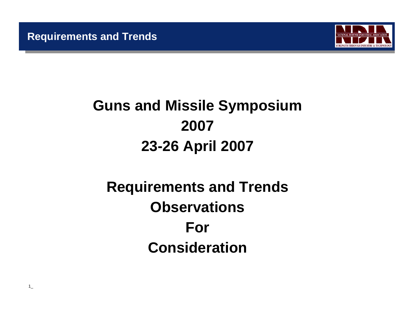

## **Guns and Missile Symposium 200723-26 April 2007**

# **Requirements and Trends Observations For Consideration**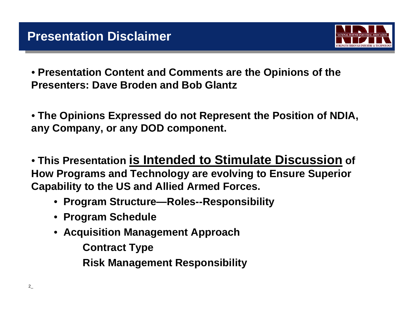

• **Presentation Content and Comments are the Opinions of the Presenters: Dave Broden and Bob Glantz**

• **The Opinions Expressed do not Represent the Position of NDIA, any Company, or any DOD component.**

• **This Presentation is Intended to Stimulate Discussion of How Programs and Technology are evolving to Ensure Superior Capability to the US and Allied Armed Forces.**

- **Program Structure—Roles--Responsibility**
- **Program Schedule**
- **Acquisition Management Approach**

**Contract Type**

**Risk Management Responsibility**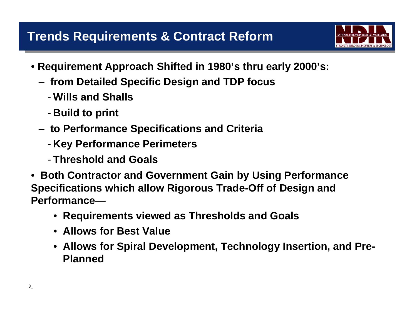## **Trends Requirements & Contract Reform**



- **Requirement Approach Shifted in 1980's thru early 2000's:**
	- – **from Detailed Specific Design and TDP focus** 
		- **Wills and Shalls**
		- **Build to print**
	- – **to Performance Specifications and Criteria** 
		- -**Key Performance Perimeters**
		- **Threshold and Goals**
- **Both Contractor and Government Gain by Using Performance Specifications which allow Rigorous Trade-Off of Design and Performance—**
	- **Requirements viewed as Thresholds and Goals**
	- **Allows for Best Value**
	- **Allows for Spiral Development, Technology Insertion, and Pre-Planned**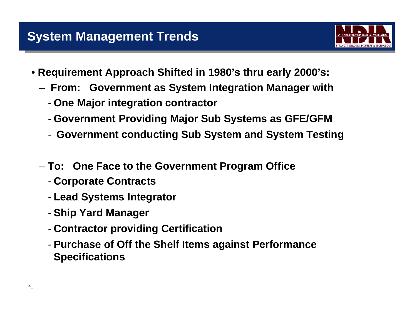## **System Management Trends**



- **Requirement Approach Shifted in 1980's thru early 2000's:**
	- – **From: Government as System Integration Manager with**
		- **One Major integration contractor**
		- **Government Providing Major Sub Systems as GFE/GFM**
		- **Government conducting Sub System and System Testing**
	- – **To: One Face to the Government Program Office**
		- -**Corporate Contracts**
		- -**Lead Systems Integrator**
		- -**Ship Yard Manager**
		- -**Contractor providing Certification**
		- - **Purchase of Off the Shelf Items against Performance Specifications**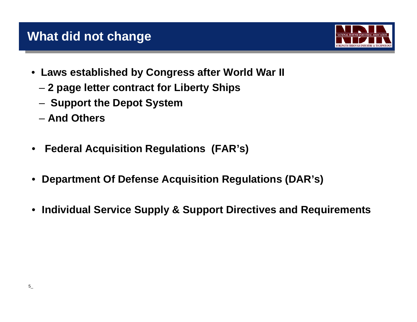### **What did not change**



- **Laws established by Congress after World War II** 
	- –**2 page letter contract for Liberty Ships**
	- – $-$  Support the Depot System
	- **And Others**
- •**Federal Acquisition Regulations (FAR's)**
- •**Department Of Defense Acquisition Regulations (DAR's)**
- **Individual Service Supply & Support Directives and Requirements**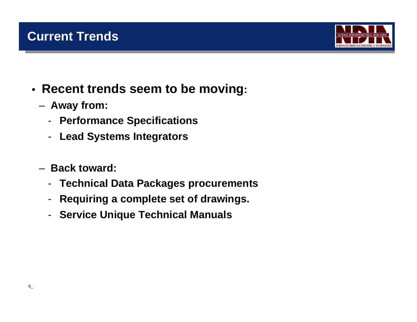### **Current Trends**



- **Recent trends seem to be moving:**
	- – **Away from:**
		- **Performance Specifications**
		- **Lead Systems Integrators**
	- **Back toward:**
		- -**Technical Data Packages procurements**
		- -**Requiring a complete set of drawings.**
		- -**Service Unique Technical Manuals**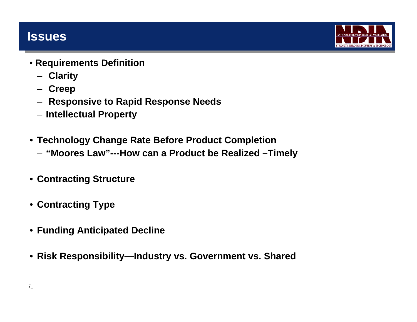#### **Issues**



- **Requirements Definition**
	- **Clarity**
	- **Creep**
	- **Responsive to Rapid Response Needs**
	- **Intellectual Property**
- **Technology Change Rate Before Product Completion**
	- **"Moores Law"---How can a Product be Realized –Timely**
- **Contracting Structure**
- **Contracting Type**
- **Funding Anticipated Decline**
- **Risk Responsibility—Industry vs. Government vs. Shared**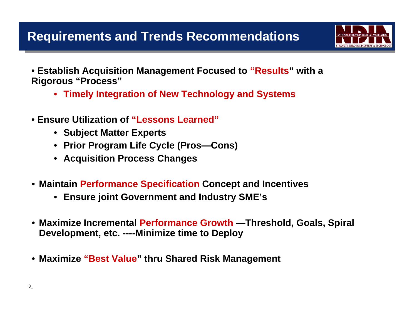## **Requirements and Trends Recommendations**



- **Establish Acquisition Management Focused to "Results" with a Rigorous "Process"**
	- **Timely Integration of New Technology and Systems**
- **Ensure Utilization of "Lessons Learned"**
	- **Subject Matter Experts**
	- **Prior Program Life Cycle (Pros—Cons)**
	- **Acquisition Process Changes**
- **Maintain Performance Specification Concept and Incentives**
	- **Ensure joint Government and Industry SME's**
- **Maximize Incremental Performance Growth —Threshold, Goals, Spiral Development, etc. ----Minimize time to Deploy**
- **Maximize "Best Value" thru Shared Risk Management**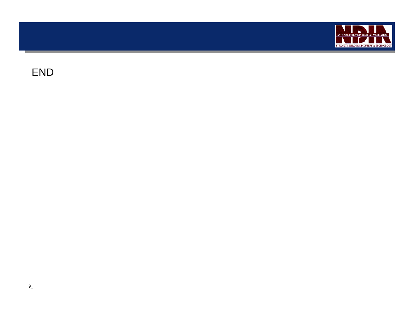

**END**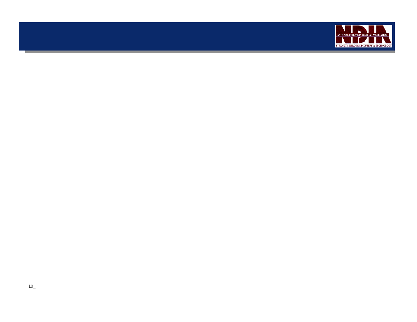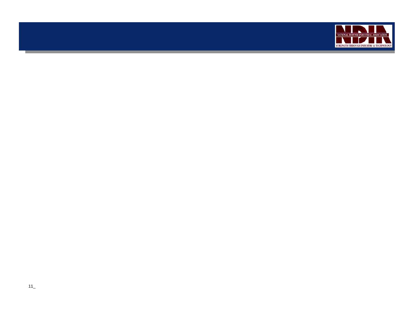